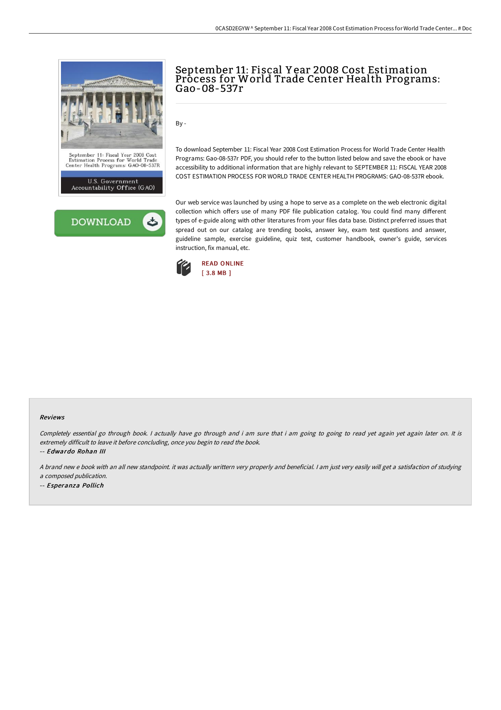



# September 11: Fiscal Y ear 2008 Cost Estimation Process for World Trade Center Health Programs: Gao-08-537r

By -

To download September 11: Fiscal Year 2008 Cost Estimation Process for World Trade Center Health Programs: Gao-08-537r PDF, you should refer to the button listed below and save the ebook or have accessibility to additional information that are highly relevant to SEPTEMBER 11: FISCAL YEAR 2008 COST ESTIMATION PROCESS FOR WORLD TRADE CENTER HEALTH PROGRAMS: GAO-08-537R ebook.

Our web service was launched by using a hope to serve as a complete on the web electronic digital collection which offers use of many PDF file publication catalog. You could find many different types of e-guide along with other literatures from your files data base. Distinct preferred issues that spread out on our catalog are trending books, answer key, exam test questions and answer, guideline sample, exercise guideline, quiz test, customer handbook, owner's guide, services instruction, fix manual, etc.



#### Reviews

Completely essential go through book. I actually have go through and i am sure that i am going to going to read yet again yet again later on. It is extremely difficult to leave it before concluding, once you begin to read the book.

-- Edwardo Rohan III

<sup>A</sup> brand new <sup>e</sup> book with an all new standpoint. it was actually writtern very properly and beneficial. <sup>I</sup> am just very easily will get <sup>a</sup> satisfaction of studying

<sup>a</sup> composed publication.

-- Esperanza Pollich